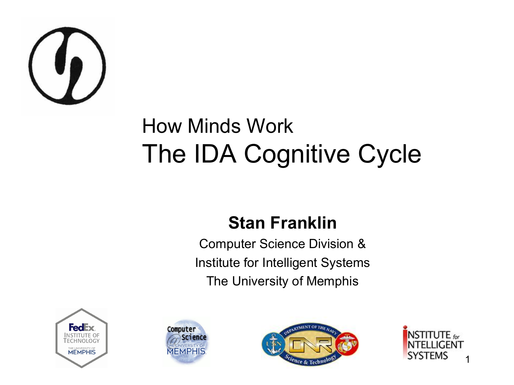

#### How Minds Work The IDA Cognitive Cycle

#### **Stan Franklin**

Computer Science Division & Institute for Intelligent Systems The University of Memphis







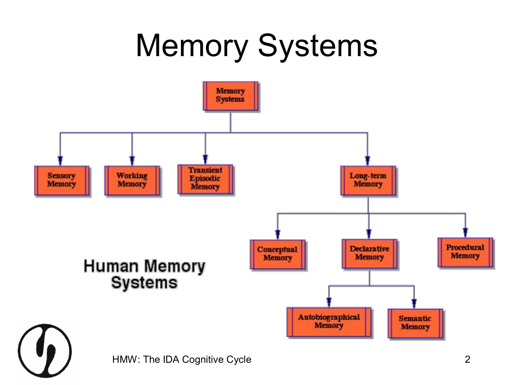# Memory Systems

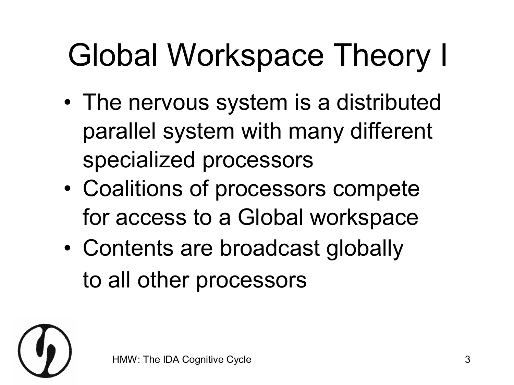# Global Workspace Theory I

- The nervous system is a distributed parallel system with many different specialized processors
- Coalitions of processors compete for access to a Global workspace
- Contents are broadcast globally to all other processors

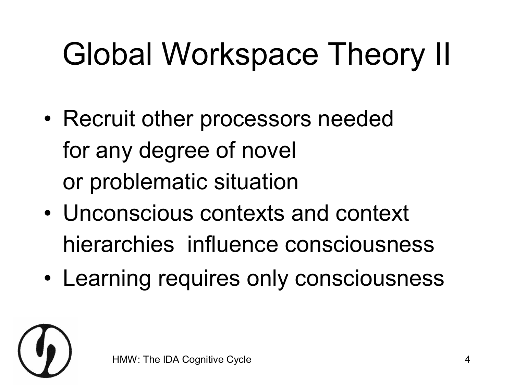# Global Workspace Theory II

- Recruit other processors needed for any degree of novel or problematic situation
- Unconscious contexts and context hierarchies influence consciousness
- Learning requires only consciousness

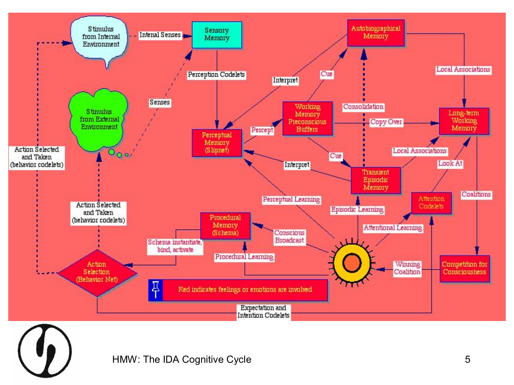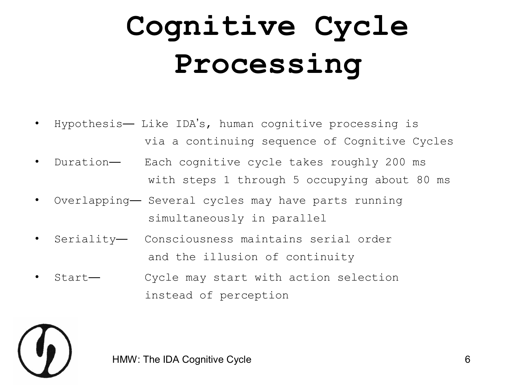## **Cognitive Cycle Processing**

- Hypothesis— Like IDA's, human cognitive processing is via a continuing sequence of Cognitive Cycles
- Duration— Each cognitive cycle takes roughly 200 ms with steps 1 through 5 occupying about 80 ms
- Overlapping— Several cycles may have parts running simultaneously in parallel
- Seriality— Consciousness maintains serial order and the illusion of continuity
- Start— Cycle may start with action selection instead of perception



HMW: The IDA Cognitive Cycle **6**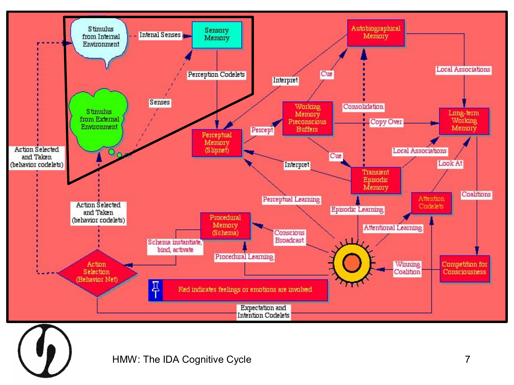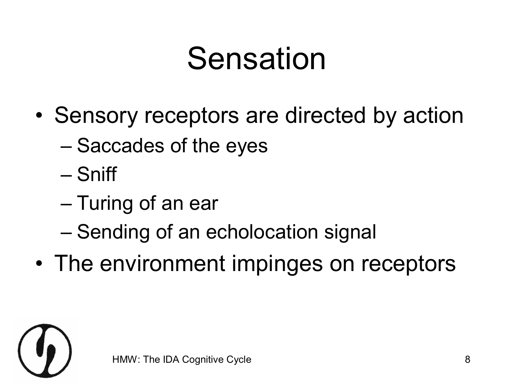## Sensation

- Sensory receptors are directed by action
	- Saccades of the eyes
	- Sniff
	- Turing of an ear
	- Sending of an echolocation signal
- The environment impinges on receptors

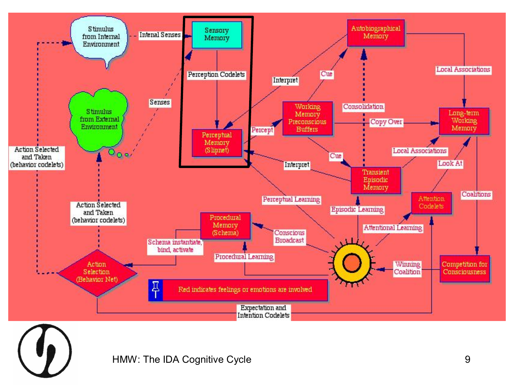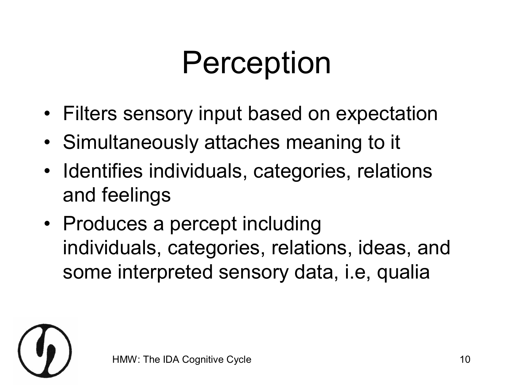# Perception

- Filters sensory input based on expectation
- Simultaneously attaches meaning to it
- Identifies individuals, categories, relations and feelings
- Produces a percept including individuals, categories, relations, ideas, and some interpreted sensory data, i.e, qualia

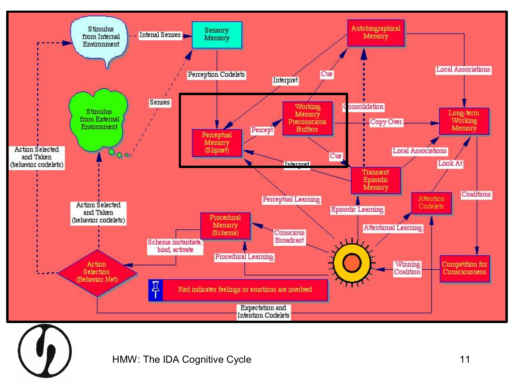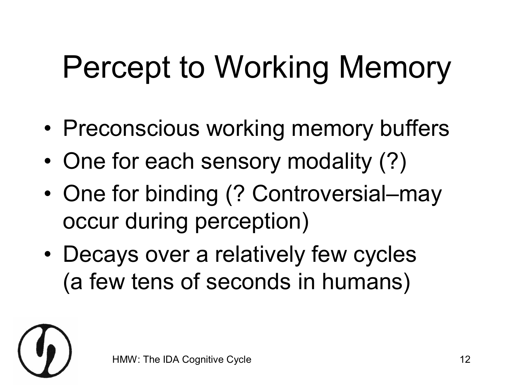# Percept to Working Memory

- Preconscious working memory buffers
- One for each sensory modality (?)
- One for binding (? Controversial–may occur during perception)
- Decays over a relatively few cycles (a few tens of seconds in humans)

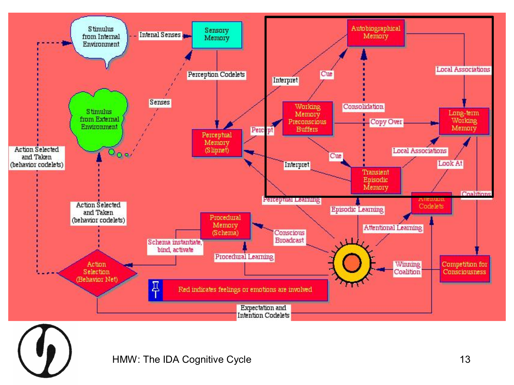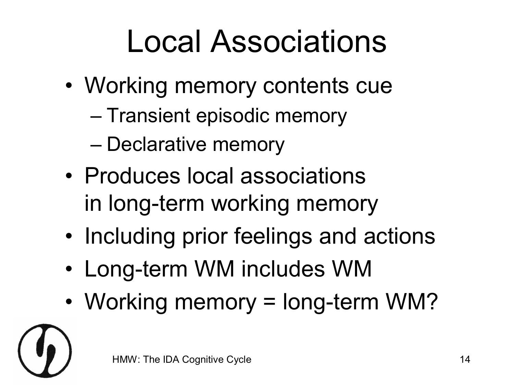# Local Associations

- Working memory contents cue
	- Transient episodic memory
	- Declarative memory
- Produces local associations in long-term working memory
- Including prior feelings and actions
- Long-term WM includes WM
- Working memory = long-term WM?

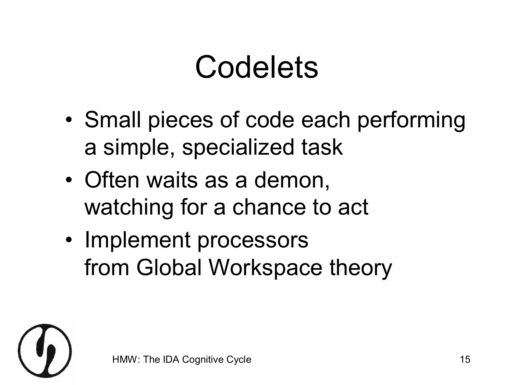#### Codelets

- Small pieces of code each performing a simple, specialized task
- Often waits as a demon, watching for a chance to act
- Implement processors from Global Workspace theory

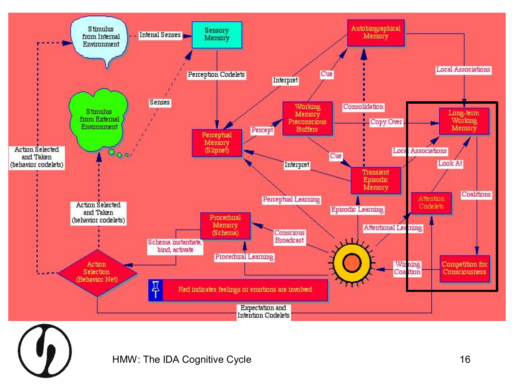

HMW: The IDA Cognitive Cycle **16** and 16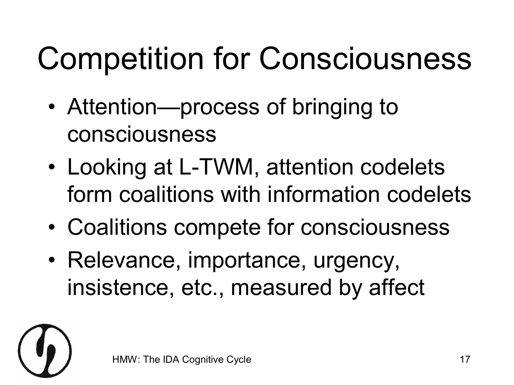# Competition for Consciousness

- Attention—process of bringing to consciousness
- Looking at L-TWM, attention codelets form coalitions with information codelets
- Coalitions compete for consciousness
- Relevance, importance, urgency, insistence, etc., measured by affect

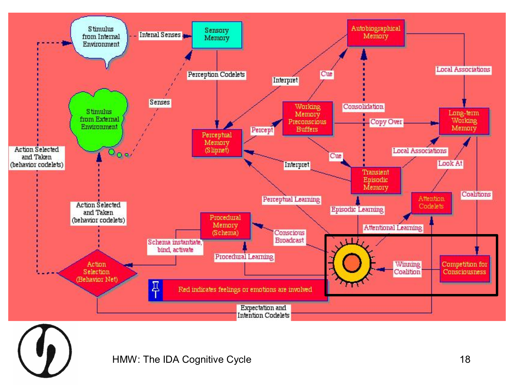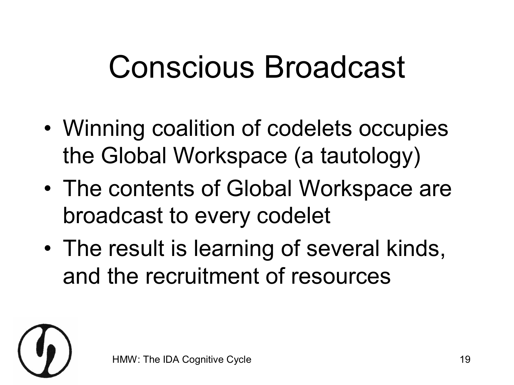## Conscious Broadcast

- Winning coalition of codelets occupies the Global Workspace (a tautology)
- The contents of Global Workspace are broadcast to every codelet
- The result is learning of several kinds, and the recruitment of resources

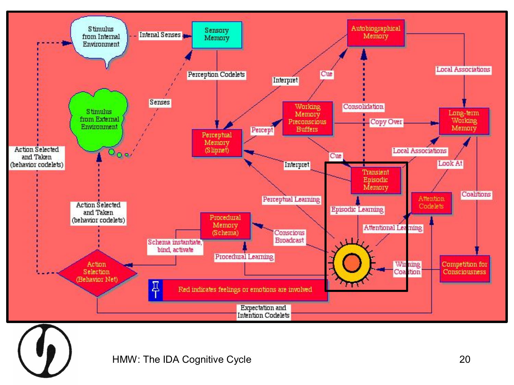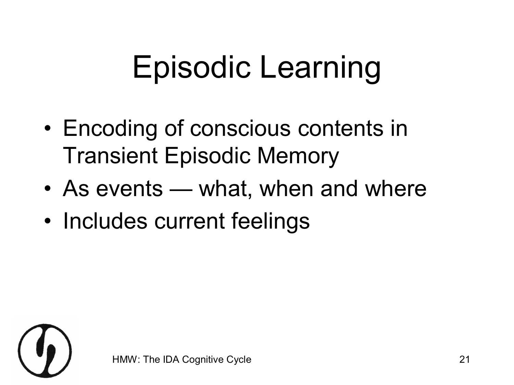# Episodic Learning

- Encoding of conscious contents in Transient Episodic Memory
- As events what, when and where
- Includes current feelings

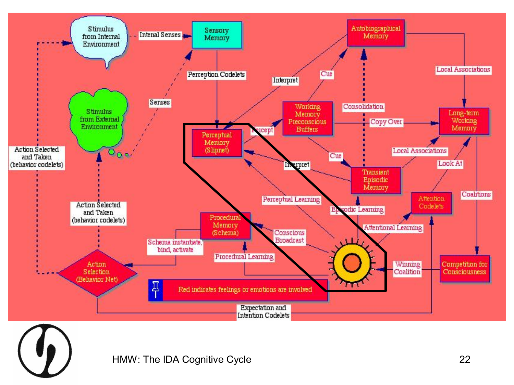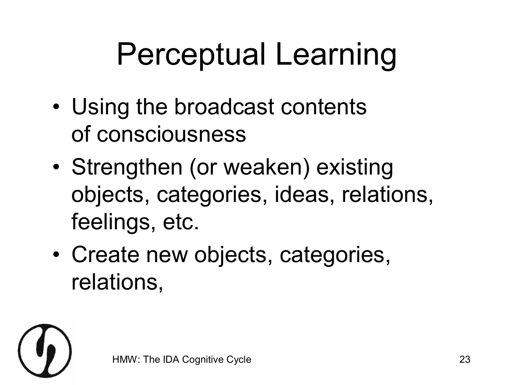# Perceptual Learning

- Using the broadcast contents of consciousness
- Strengthen (or weaken) existing objects, categories, ideas, relations, feelings, etc.
- Create new objects, categories, relations,

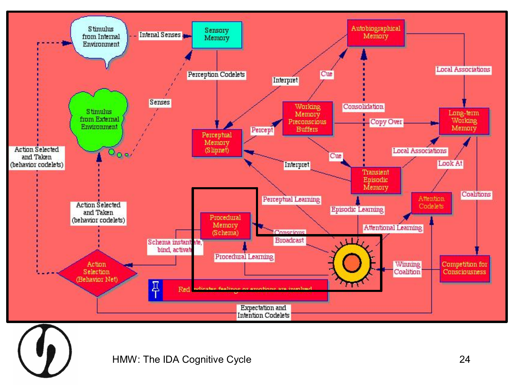

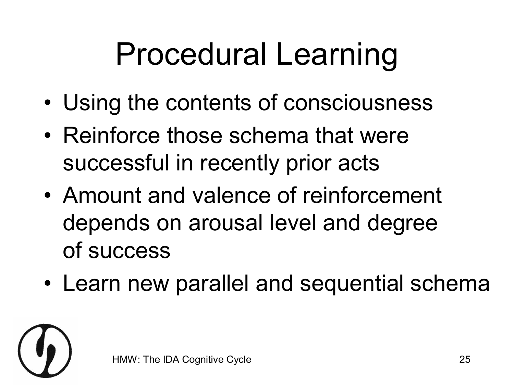# Procedural Learning

- Using the contents of consciousness
- Reinforce those schema that were successful in recently prior acts
- Amount and valence of reinforcement depends on arousal level and degree of success
- Learn new parallel and sequential schema

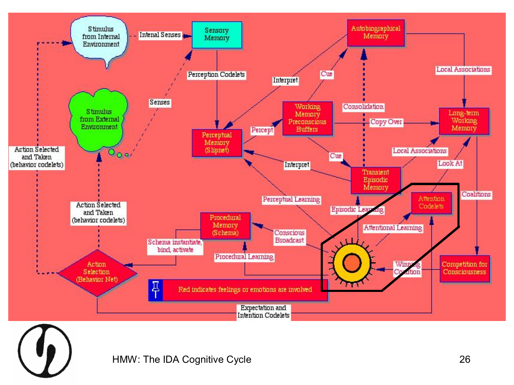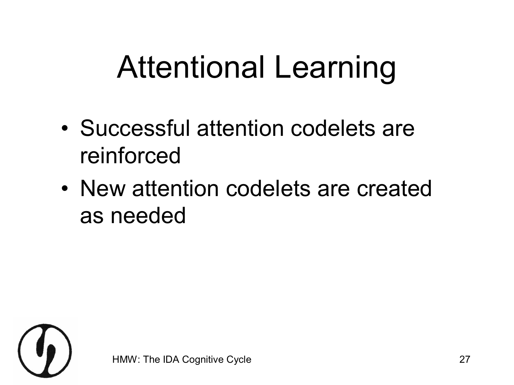# Attentional Learning

- Successful attention codelets are reinforced
- New attention codelets are created as needed

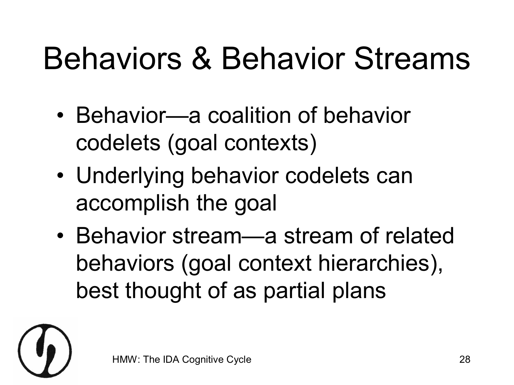# Behaviors & Behavior Streams

- Behavior—a coalition of behavior codelets (goal contexts)
- Underlying behavior codelets can accomplish the goal
- Behavior stream—a stream of related behaviors (goal context hierarchies), best thought of as partial plans

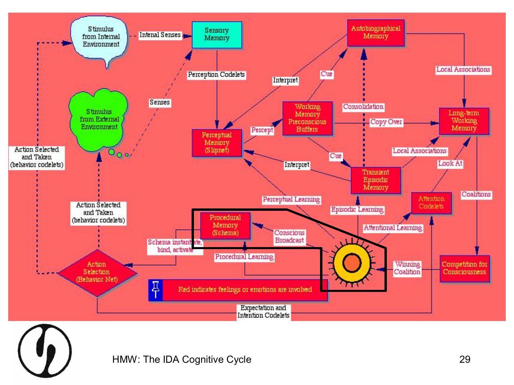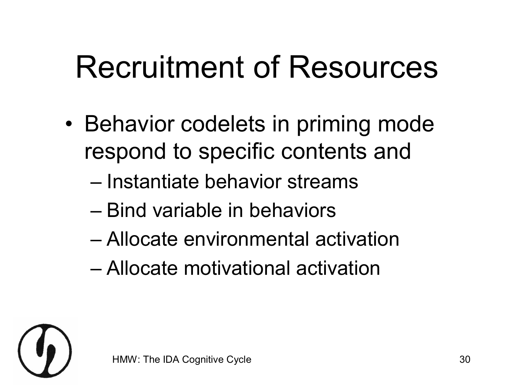# Recruitment of Resources

- Behavior codelets in priming mode respond to specific contents and
	- Instantiate behavior streams
	- Bind variable in behaviors
	- Allocate environmental activation
	- Allocate motivational activation

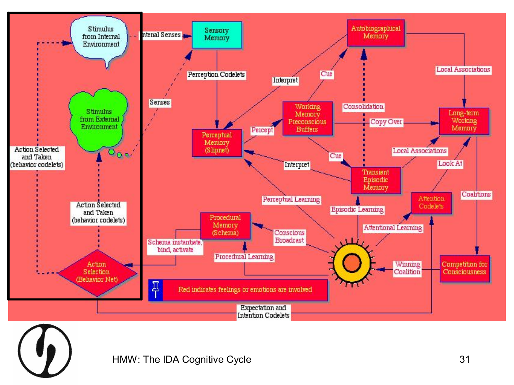

HMW: The IDA Cognitive Cycle **31**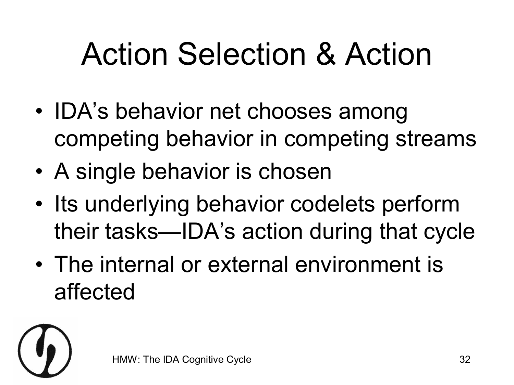# Action Selection & Action

- IDA's behavior net chooses among competing behavior in competing streams
- A single behavior is chosen
- Its underlying behavior codelets perform their tasks—IDA's action during that cycle
- The internal or external environment is affected

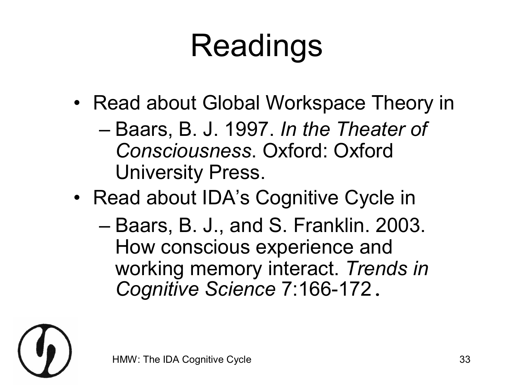# Readings

• Read about Global Workspace Theory in

– Baars, B. J. 1997. *In the Theater of Consciousness*. Oxford: Oxford University Press.

- Read about IDA's Cognitive Cycle in
	- Baars, B. J., and S. Franklin. 2003. How conscious experience and working memory interact. *Trends in*  **Cognitive Science 7:166-172.**